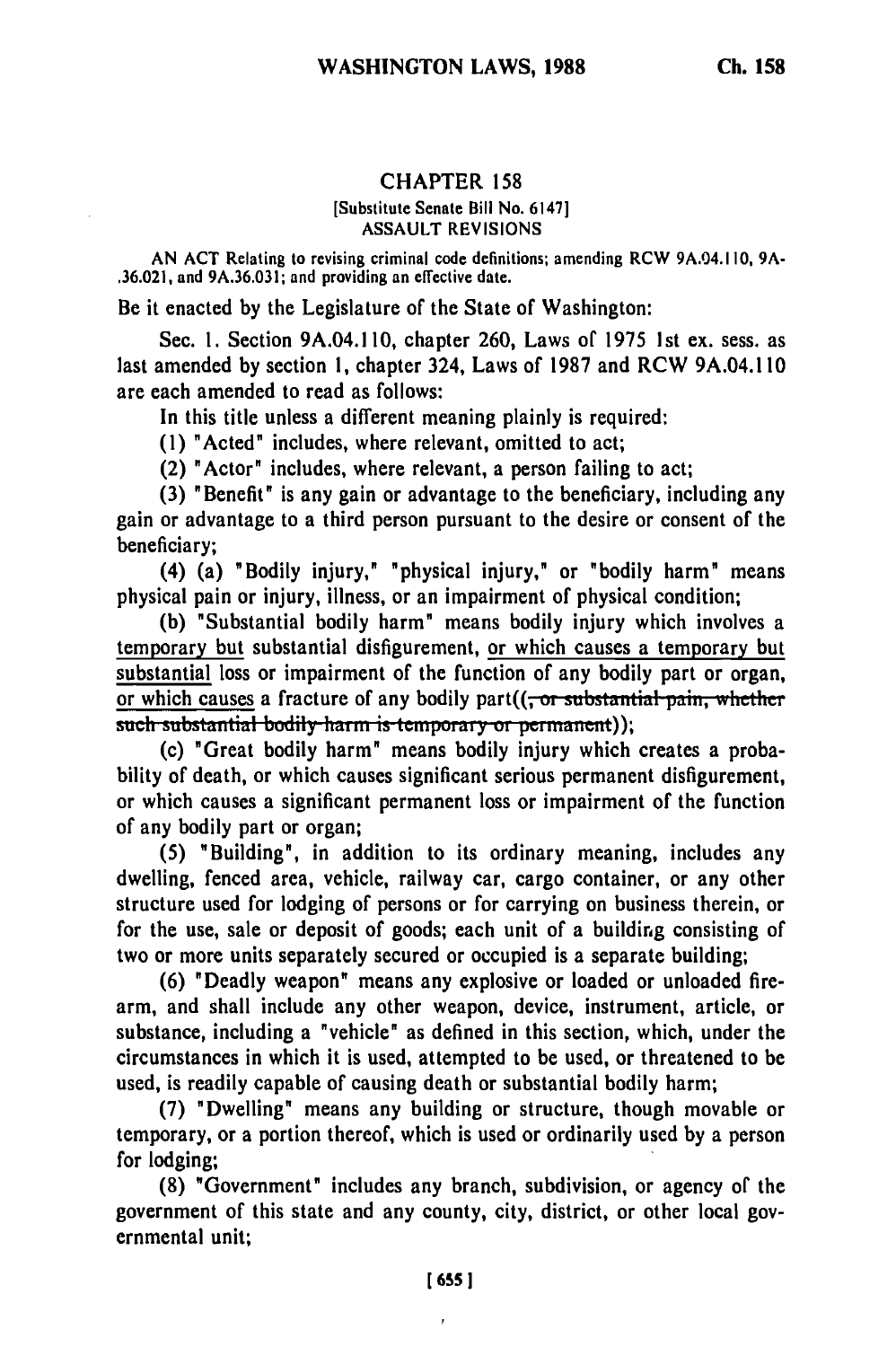## CHAPTER 158

## [Substitute Senate Bill No. 6147] ASSAULT REVISIONS

**AN ACT** Relating to revising criminal code definitions; amending RCW 9A.04.110, **9A-** .36.021, and 9A.36.031; and providing an effective date.

Be it enacted by the Legislature of the State of Washington:

Sec. **1.** Section 9A.04.1 10, chapter 260, Laws of 1975 1st ex. sess. as last amended by section 1, chapter 324, Laws of 1987 and RCW 9A.04.1 10 are each amended to read as follows:

In this title unless a different meaning plainly is required:

(1) "Acted" includes, where relevant, omitted to act;

(2) "Actor" includes, where relevant, a person failing to act;

(3) "Benefit" is any gain or advantage to the beneficiary, including any gain or advantage to a third person pursuant to the desire or consent of the beneficiary;

(4) (a) "Bodily injury," "physical injury," or "bodily harm" means physical pain or injury, illness, or an impairment of physical condition;

(b) "Substantial bodily harm" means bodily injury which involves a temporary but substantial disfigurement, or which causes a temporary but substantial loss or impairment of the function of any bodily part or organ, or which causes a fracture of any bodily part((<del>, or substantial pain, whether</del> such substantial bodily harm is temporary or permanent));

(c) "Great bodily harm" means bodily injury which creates a probability of death, or which causes significant serious permanent disfigurement, or which causes a significant permanent loss or impairment of the function of any bodily part or organ;

(5) "Building", in addition to its ordinary meaning, includes any dwelling, fenced area, vehicle, railway car, cargo container, or any other structure used for lodging of persons or for carrying on business therein, or for the use, sale or deposit of goods; each unit of a building consisting of two or more units separately secured or occupied is a separate building;

(6) "Deadly weapon" means any explosive or loaded or unloaded firearm, and shall include any other weapon, device, instrument, article, or substance, including a "vehicle" as defined in this section, which, under the circumstances in which it is used, attempted to be used, or threatened to be used, is readily capable of causing death or substantial bodily harm;

(7) "Dwelling" means any building or structure, though movable or temporary, or a portion thereof, which is used or ordinarily used by a person for lodging;

(8) "Government" includes any branch, subdivision, or agency of the government of this state and any county, city, district, or other local governmental unit;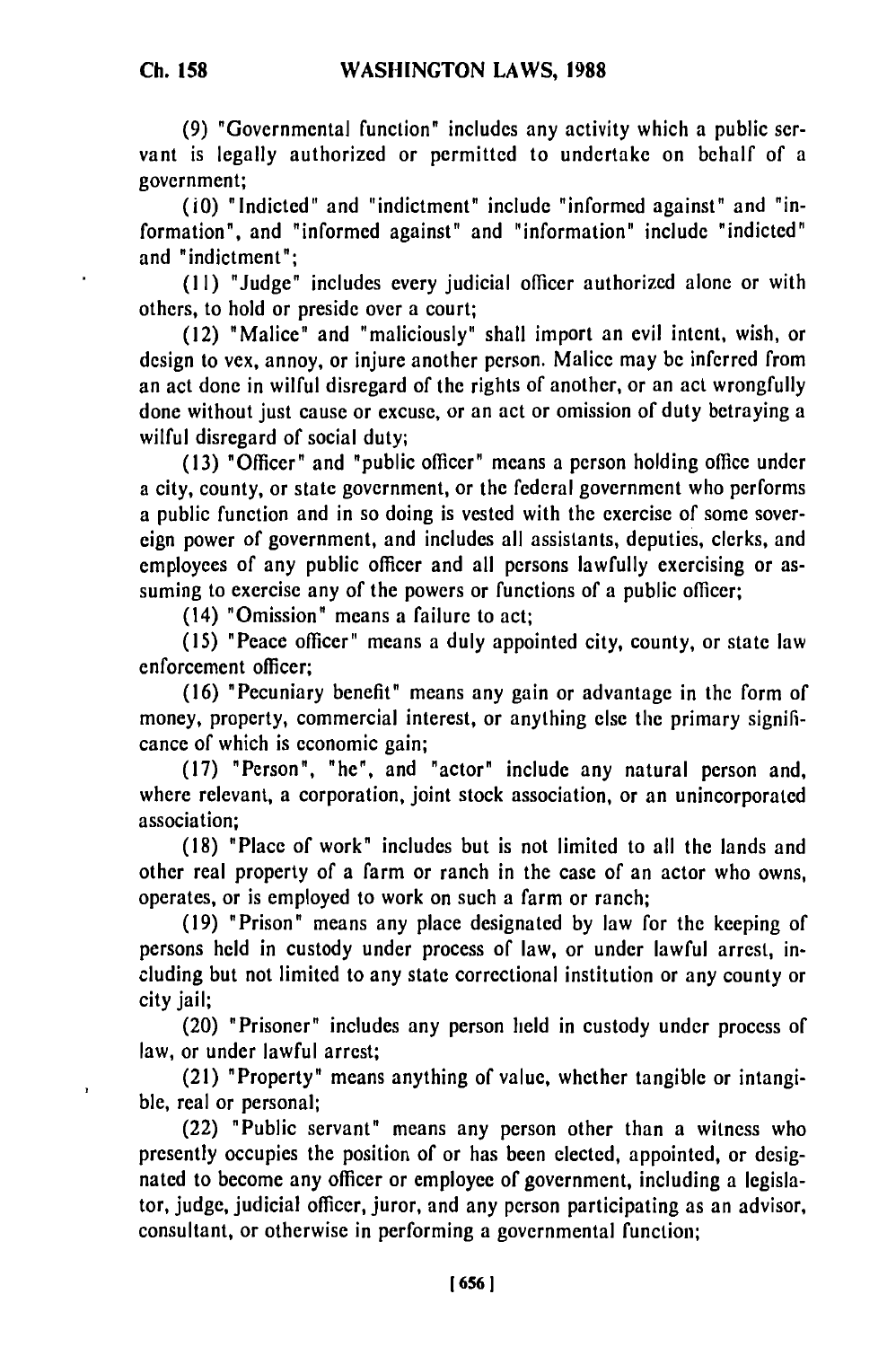ı

**(9)** "Governmental function" includes any activity which a public servant is legally authorized or permitted to undertake on behalf of a government;

(i0) "Indicted" and "indictment" include "informed against" and "information", and "informed against" and "information" include "indicted" and "indictment";

(11) "Judge" includes every judicial officer authorized alone or with others, to hold or preside over a court;

(12) "Malice" and "maliciously" shall import an evil intent, wish, or design to vex, annoy, or injure another person. Malice may be inferred from an act done in wilful disregard of the rights of another, or an act wrongfully done without just cause or excuse, or an act or omission of duty betraying a wilful disregard of social duty;

(13) "Officer" and "public officer" means a person holding office under a city, county, or state government, or the federal government who performs a public function and in so doing is vested with the exercise of some sovereign power of government, and includes all assistants, deputies, clerks, and employees of any public officer and all persons lawfully exercising or assuming to exercise any of the powers or functions of a public officer;

(14) "Omission" means a failure to act;

(15) "Peace officer" means a duly appointed city, county, or state law enforcement officer;

(16) "Pecuniary benefit" means any gain or advantage in the form of money, property, commercial interest, or anything else the primary significance of which is economic gain;

(17) "Person", "he", and "actor" include any natural person and, where relevant, a corporation, joint stock association, or an unincorporated association;

(18) "Place of work" includes but is not limited to all the lands and other real property of a farm or ranch in the case of an actor who owns, operates, or is employed to work on such a farm or ranch;

(19) "Prison" means any place designated by law for the keeping of persons held in custody under process of law, or under lawful arrest, including but not limited to any state correctional institution or any county or city jail;

(20) "Prisoner" includes any person held in custody under process of law, or under lawful arrest;

(21) "Property" means anything of value, whether tangible or intangible, real or personal;

(22) "Public servant" means any person other than a witness who presently occupies the position of or has been elected, appointed, or designated to become any officer or employee of government, including a legislator, judge, judicial officer, juror, and any person participating as an advisor, consultant, or otherwise in performing a governmental function;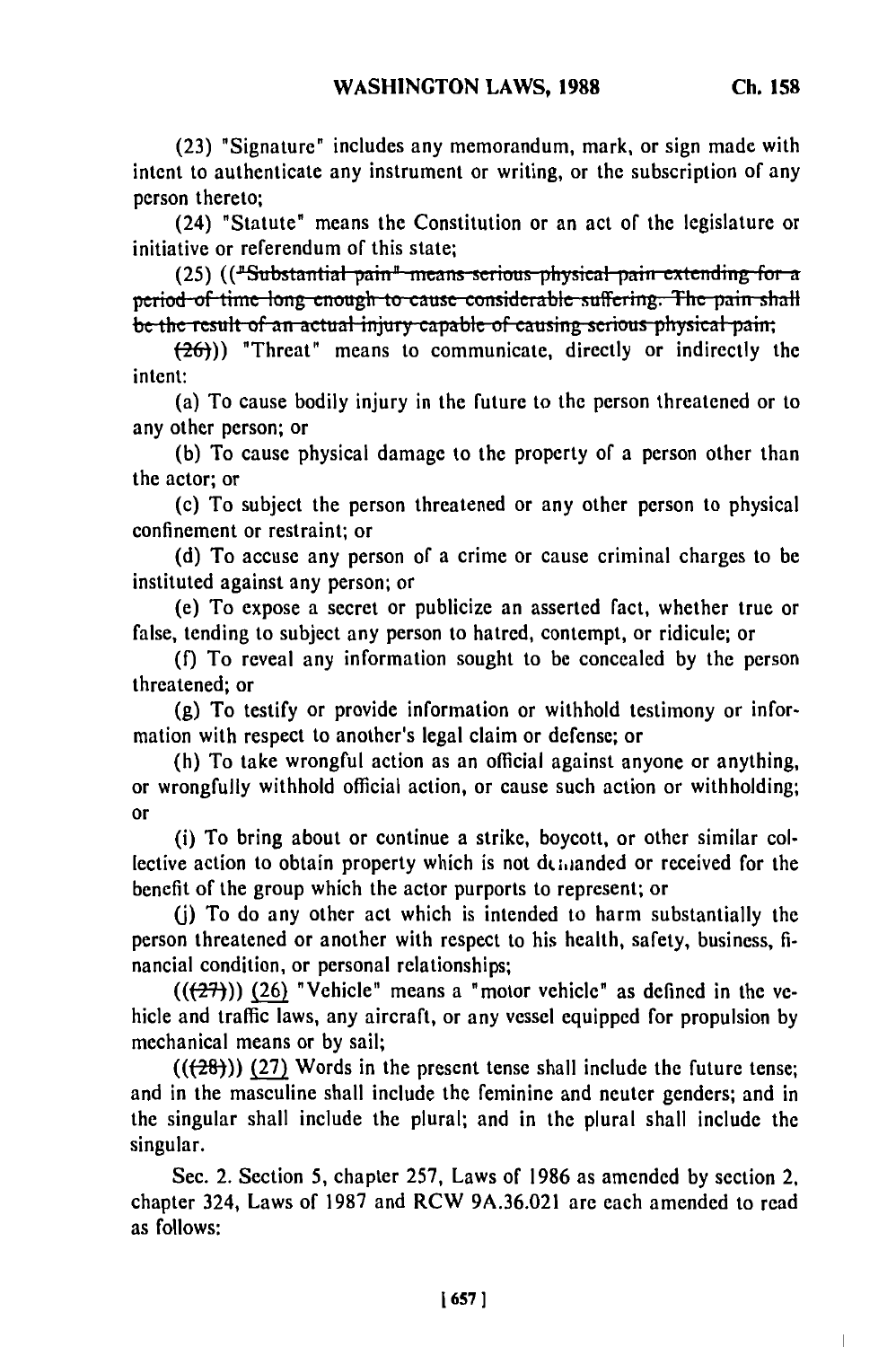(23) "Signature" includes any memorandum, mark, or sign made with intent to authenticate any instrument or writing, or the subscription of any person thereto;

(24) "Statute" means the Constitution or an act of the legislature or initiative or referendum of this state;

(25) (("Substantial pain" means serious physical pain extending for a **period of time long enough to cause considerable suffering. The pain shall** be the result of an actual injury capable of causing serious physical pain;

 $(26)$ )) "Threat" means to communicate, directly or indirectly the intent:

(a) To cause bodily injury in the future to the person threatened or to any other person; or

(b) To cause physical damage to the property of a person other than the actor; or

(c) To subject the person threatened or any other person to physical confinement or restraint; or

(d) To accuse any person of a crime or cause criminal charges to be instituted against any person; or

(e) To expose a secret or publicize an asserted fact, whether true or false, tending to subject any person to hatred, contempt, or ridicule; or

(f) To reveal any information sought to be concealed by the person threatened; or

(g) To testify or provide information or withhold testimony or information with respect to another's legal claim or defense; or

(h) To take wrongful action as an official against anyone or anything, or wrongfully withhold official action, or cause such action or withholding; or

(i) To bring about or continue a strike, boycott, or other similar collective action to obtain property which is not demanded or received for the benefit of the group which the actor purports to represent; or

**()** To do any other act which is intended to harm substantially the person threatened or another with respect to his health, safety, business, financial condition, or personal relationships;

 $((27))$  (26) "Vehicle" means a "motor vehicle" as defined in the vehicle and traffic laws, any aircraft, or any vessel equipped for propulsion by mechanical means or by sail;

 $((+28))$  (27) Words in the present tense shall include the future tense; and in the masculine shall include the feminine and neuter genders; and in the singular shall include the plural; and in the plural shall include the singular.

Sec. 2. Section 5, chapter 257, Laws of 1986 as amended by section 2, chapter 324, Laws of 1987 and RCW 9A.36.021 are each amended to read as follows: